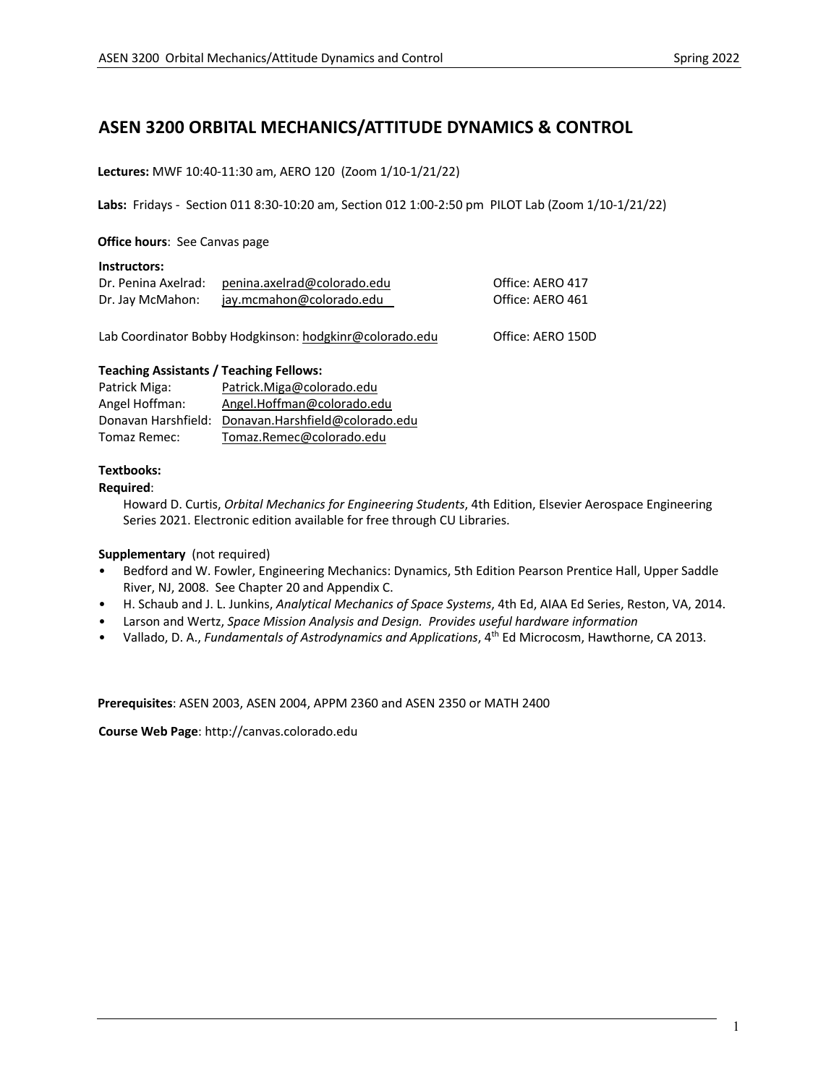# **ASEN 3200 ORBITAL MECHANICS/ATTITUDE DYNAMICS & CONTROL**

#### **Lectures:** MWF 10:40-11:30 am, AERO 120 (Zoom 1/10-1/21/22)

**Labs:** Fridays - Section 011 8:30-10:20 am, Section 012 1:00-2:50 pm PILOT Lab (Zoom 1/10-1/21/22)

#### **Office hours**: See Canvas page

#### **Instructors:**

| Dr. Penina Axelrad: | penina.axelrad@colorado.edu | Office: AERO 417 |
|---------------------|-----------------------------|------------------|
| Dr. Jay McMahon:    | jay.mcmahon@colorado.edu    | Office: AERO 461 |

Lab Coordinator Bobby Hodgkinson: hodgkinr@colorado.edu Office: AERO 150D

#### **Teaching Assistants / Teaching Fellows:**

| Patrick Miga:       | Patrick.Miga@colorado.edu       |
|---------------------|---------------------------------|
| Angel Hoffman:      | Angel.Hoffman@colorado.edu      |
| Donavan Harshfield: | Donavan.Harshfield@colorado.edu |
| Tomaz Remec:        | Tomaz.Remec@colorado.edu        |

#### **Textbooks:**

#### **Required**:

Howard D. Curtis, *Orbital Mechanics for Engineering Students*, 4th Edition, Elsevier Aerospace Engineering Series 2021. Electronic edition available for free through CU Libraries.

#### **Supplementary** (not required)

- Bedford and W. Fowler, Engineering Mechanics: Dynamics, 5th Edition Pearson Prentice Hall, Upper Saddle River, NJ, 2008. See Chapter 20 and Appendix C.
- H. Schaub and J. L. Junkins, *Analytical Mechanics of Space Systems*, 4th Ed, AIAA Ed Series, Reston, VA, 2014.
- Larson and Wertz, *Space Mission Analysis and Design. Provides useful hardware information*
- Vallado, D. A., *Fundamentals of Astrodynamics and Applications*, 4th Ed Microcosm, Hawthorne, CA 2013.

**Prerequisites**: ASEN 2003, ASEN 2004, APPM 2360 and ASEN 2350 or MATH 2400

**Course Web Page**: http://canvas.colorado.edu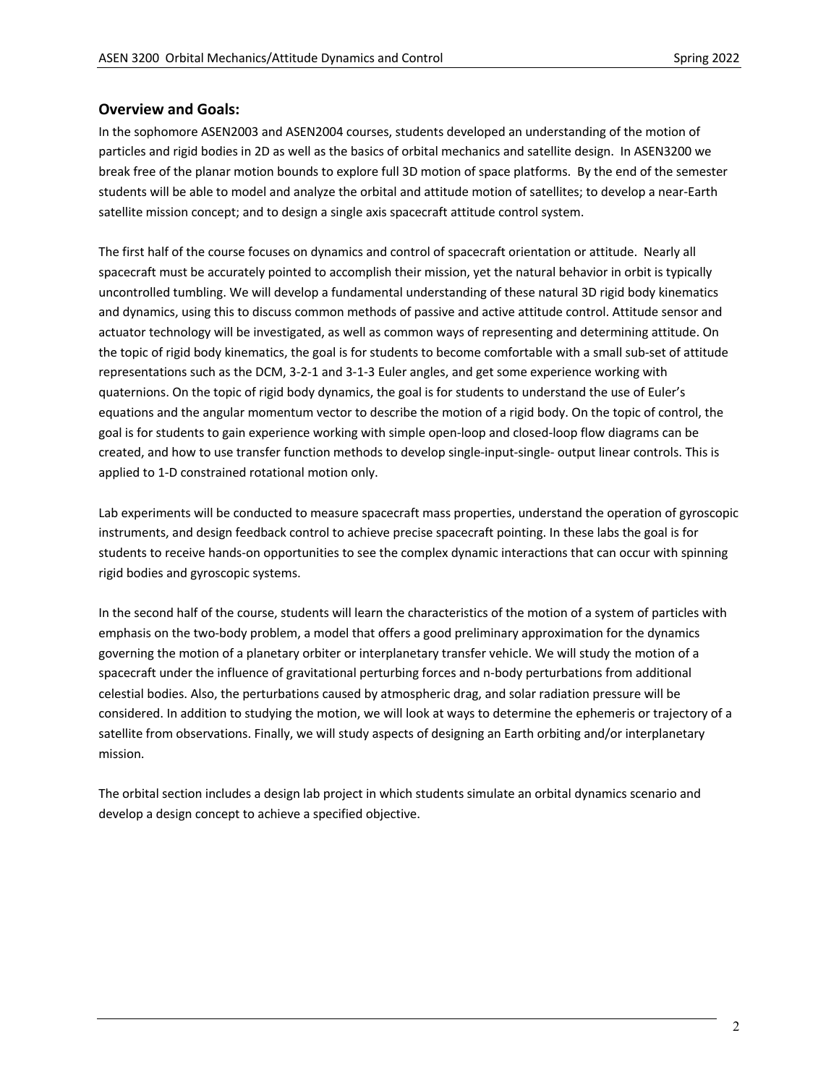### **Overview and Goals:**

In the sophomore ASEN2003 and ASEN2004 courses, students developed an understanding of the motion of particles and rigid bodies in 2D as well as the basics of orbital mechanics and satellite design. In ASEN3200 we break free of the planar motion bounds to explore full 3D motion of space platforms. By the end of the semester students will be able to model and analyze the orbital and attitude motion of satellites; to develop a near-Earth satellite mission concept; and to design a single axis spacecraft attitude control system.

The first half of the course focuses on dynamics and control of spacecraft orientation or attitude. Nearly all spacecraft must be accurately pointed to accomplish their mission, yet the natural behavior in orbit is typically uncontrolled tumbling. We will develop a fundamental understanding of these natural 3D rigid body kinematics and dynamics, using this to discuss common methods of passive and active attitude control. Attitude sensor and actuator technology will be investigated, as well as common ways of representing and determining attitude. On the topic of rigid body kinematics, the goal is for students to become comfortable with a small sub-set of attitude representations such as the DCM, 3-2-1 and 3-1-3 Euler angles, and get some experience working with quaternions. On the topic of rigid body dynamics, the goal is for students to understand the use of Euler's equations and the angular momentum vector to describe the motion of a rigid body. On the topic of control, the goal is for students to gain experience working with simple open-loop and closed-loop flow diagrams can be created, and how to use transfer function methods to develop single-input-single- output linear controls. This is applied to 1-D constrained rotational motion only.

Lab experiments will be conducted to measure spacecraft mass properties, understand the operation of gyroscopic instruments, and design feedback control to achieve precise spacecraft pointing. In these labs the goal is for students to receive hands-on opportunities to see the complex dynamic interactions that can occur with spinning rigid bodies and gyroscopic systems.

In the second half of the course, students will learn the characteristics of the motion of a system of particles with emphasis on the two-body problem, a model that offers a good preliminary approximation for the dynamics governing the motion of a planetary orbiter or interplanetary transfer vehicle. We will study the motion of a spacecraft under the influence of gravitational perturbing forces and n-body perturbations from additional celestial bodies. Also, the perturbations caused by atmospheric drag, and solar radiation pressure will be considered. In addition to studying the motion, we will look at ways to determine the ephemeris or trajectory of a satellite from observations. Finally, we will study aspects of designing an Earth orbiting and/or interplanetary mission.

The orbital section includes a design lab project in which students simulate an orbital dynamics scenario and develop a design concept to achieve a specified objective.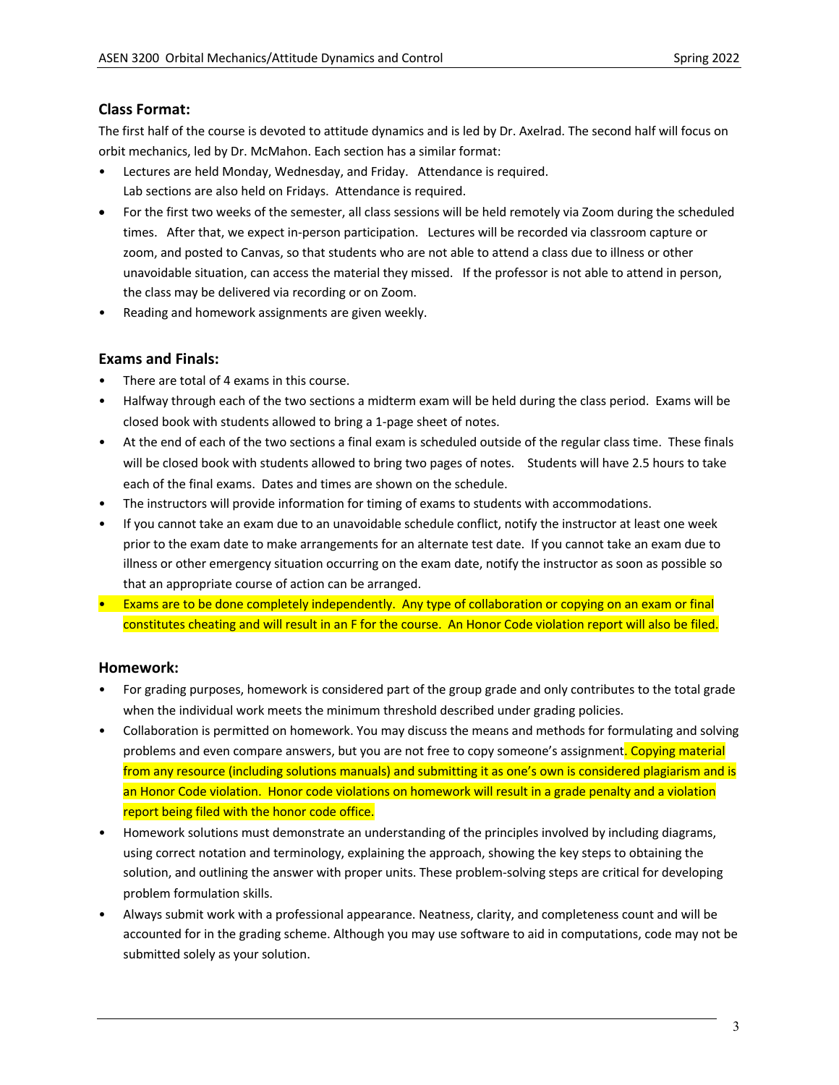# **Class Format:**

The first half of the course is devoted to attitude dynamics and is led by Dr. Axelrad. The second half will focus on orbit mechanics, led by Dr. McMahon. Each section has a similar format:

- Lectures are held Monday, Wednesday, and Friday. Attendance is required. Lab sections are also held on Fridays. Attendance is required.
- For the first two weeks of the semester, all class sessions will be held remotely via Zoom during the scheduled times. After that, we expect in-person participation. Lectures will be recorded via classroom capture or zoom, and posted to Canvas, so that students who are not able to attend a class due to illness or other unavoidable situation, can access the material they missed. If the professor is not able to attend in person, the class may be delivered via recording or on Zoom.
- Reading and homework assignments are given weekly.

# **Exams and Finals:**

- There are total of 4 exams in this course.
- Halfway through each of the two sections a midterm exam will be held during the class period. Exams will be closed book with students allowed to bring a 1-page sheet of notes.
- At the end of each of the two sections a final exam is scheduled outside of the regular class time. These finals will be closed book with students allowed to bring two pages of notes. Students will have 2.5 hours to take each of the final exams. Dates and times are shown on the schedule.
- The instructors will provide information for timing of exams to students with accommodations.
- If you cannot take an exam due to an unavoidable schedule conflict, notify the instructor at least one week prior to the exam date to make arrangements for an alternate test date. If you cannot take an exam due to illness or other emergency situation occurring on the exam date, notify the instructor as soon as possible so that an appropriate course of action can be arranged.
- Exams are to be done completely independently. Any type of collaboration or copying on an exam or final constitutes cheating and will result in an F for the course. An Honor Code violation report will also be filed.

### **Homework:**

- For grading purposes, homework is considered part of the group grade and only contributes to the total grade when the individual work meets the minimum threshold described under grading policies.
- Collaboration is permitted on homework. You may discuss the means and methods for formulating and solving problems and even compare answers, but you are not free to copy someone's assignment. Copying material from any resource (including solutions manuals) and submitting it as one's own is considered plagiarism and is an Honor Code violation. Honor code violations on homework will result in a grade penalty and a violation report being filed with the honor code office.
- Homework solutions must demonstrate an understanding of the principles involved by including diagrams, using correct notation and terminology, explaining the approach, showing the key steps to obtaining the solution, and outlining the answer with proper units. These problem-solving steps are critical for developing problem formulation skills.
- Always submit work with a professional appearance. Neatness, clarity, and completeness count and will be accounted for in the grading scheme. Although you may use software to aid in computations, code may not be submitted solely as your solution.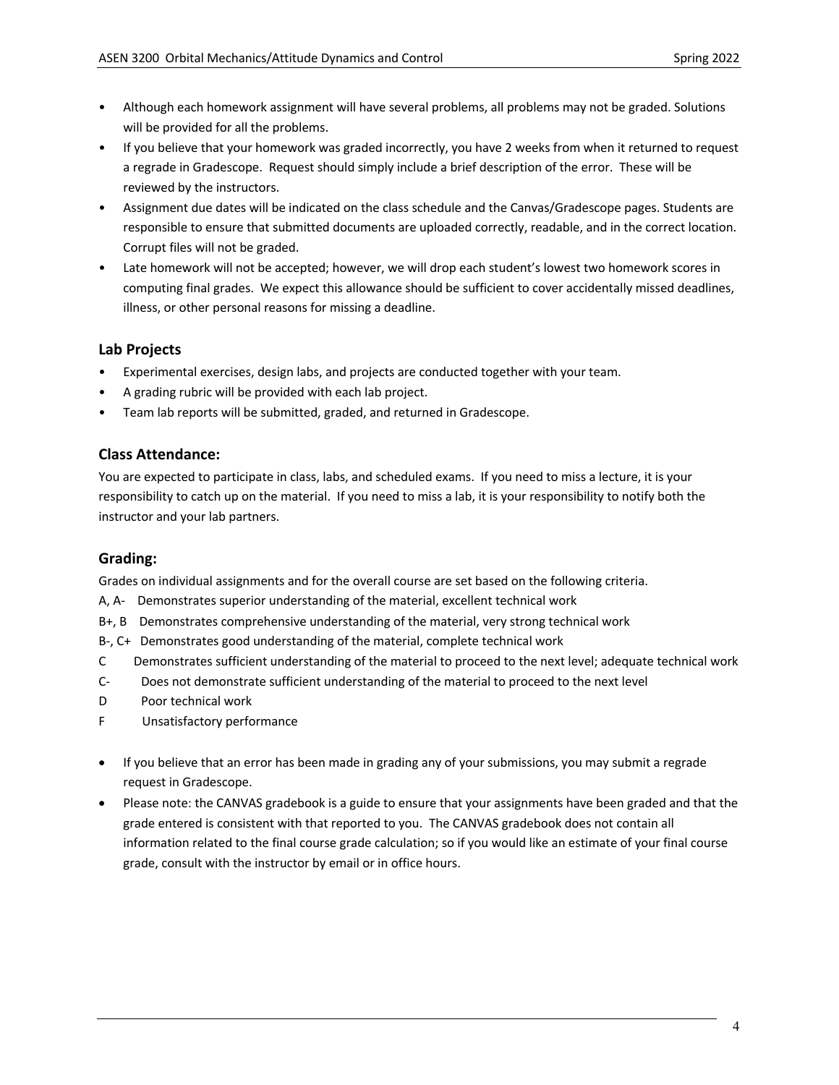- Although each homework assignment will have several problems, all problems may not be graded. Solutions will be provided for all the problems.
- If you believe that your homework was graded incorrectly, you have 2 weeks from when it returned to request a regrade in Gradescope. Request should simply include a brief description of the error. These will be reviewed by the instructors.
- Assignment due dates will be indicated on the class schedule and the Canvas/Gradescope pages. Students are responsible to ensure that submitted documents are uploaded correctly, readable, and in the correct location. Corrupt files will not be graded.
- Late homework will not be accepted; however, we will drop each student's lowest two homework scores in computing final grades. We expect this allowance should be sufficient to cover accidentally missed deadlines, illness, or other personal reasons for missing a deadline.

# **Lab Projects**

- Experimental exercises, design labs, and projects are conducted together with your team.
- A grading rubric will be provided with each lab project.
- Team lab reports will be submitted, graded, and returned in Gradescope.

# **Class Attendance:**

You are expected to participate in class, labs, and scheduled exams. If you need to miss a lecture, it is your responsibility to catch up on the material. If you need to miss a lab, it is your responsibility to notify both the instructor and your lab partners.

# **Grading:**

Grades on individual assignments and for the overall course are set based on the following criteria.

- A, A- Demonstrates superior understanding of the material, excellent technical work
- B+, B Demonstrates comprehensive understanding of the material, very strong technical work
- B-, C+ Demonstrates good understanding of the material, complete technical work
- C Demonstrates sufficient understanding of the material to proceed to the next level; adequate technical work
- C- Does not demonstrate sufficient understanding of the material to proceed to the next level
- D Poor technical work
- F Unsatisfactory performance
- If you believe that an error has been made in grading any of your submissions, you may submit a regrade request in Gradescope.
- Please note: the CANVAS gradebook is a guide to ensure that your assignments have been graded and that the grade entered is consistent with that reported to you. The CANVAS gradebook does not contain all information related to the final course grade calculation; so if you would like an estimate of your final course grade, consult with the instructor by email or in office hours.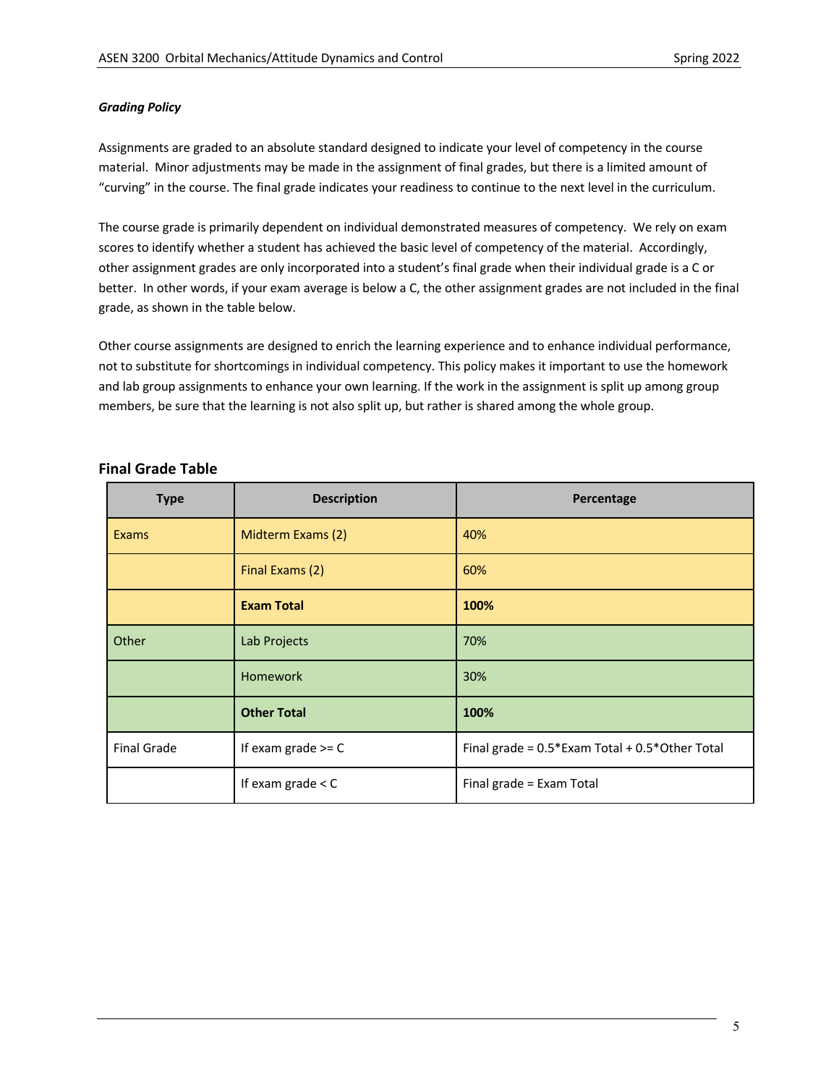#### *Grading Policy*

Assignments are graded to an absolute standard designed to indicate your level of competency in the course material. Minor adjustments may be made in the assignment of final grades, but there is a limited amount of "curving" in the course. The final grade indicates your readiness to continue to the next level in the curriculum.

The course grade is primarily dependent on individual demonstrated measures of competency. We rely on exam scores to identify whether a student has achieved the basic level of competency of the material. Accordingly, other assignment grades are only incorporated into a student's final grade when their individual grade is a C or better. In other words, if your exam average is below a C, the other assignment grades are not included in the final grade, as shown in the table below.

Other course assignments are designed to enrich the learning experience and to enhance individual performance, not to substitute for shortcomings in individual competency. This policy makes it important to use the homework and lab group assignments to enhance your own learning. If the work in the assignment is split up among group members, be sure that the learning is not also split up, but rather is shared among the whole group.

| <b>Type</b>        | <b>Description</b>   | Percentage                                           |
|--------------------|----------------------|------------------------------------------------------|
| Exams              | Midterm Exams (2)    | 40%                                                  |
|                    | Final Exams (2)      | 60%                                                  |
|                    | <b>Exam Total</b>    | 100%                                                 |
| Other              | Lab Projects         | 70%                                                  |
|                    | <b>Homework</b>      | 30%                                                  |
|                    | <b>Other Total</b>   | 100%                                                 |
| <b>Final Grade</b> | If exam grade $>=$ C | Final grade = $0.5*$ Exam Total + $0.5*$ Other Total |
|                    | If exam grade $<$ C  | Final grade = Exam Total                             |

# **Final Grade Table**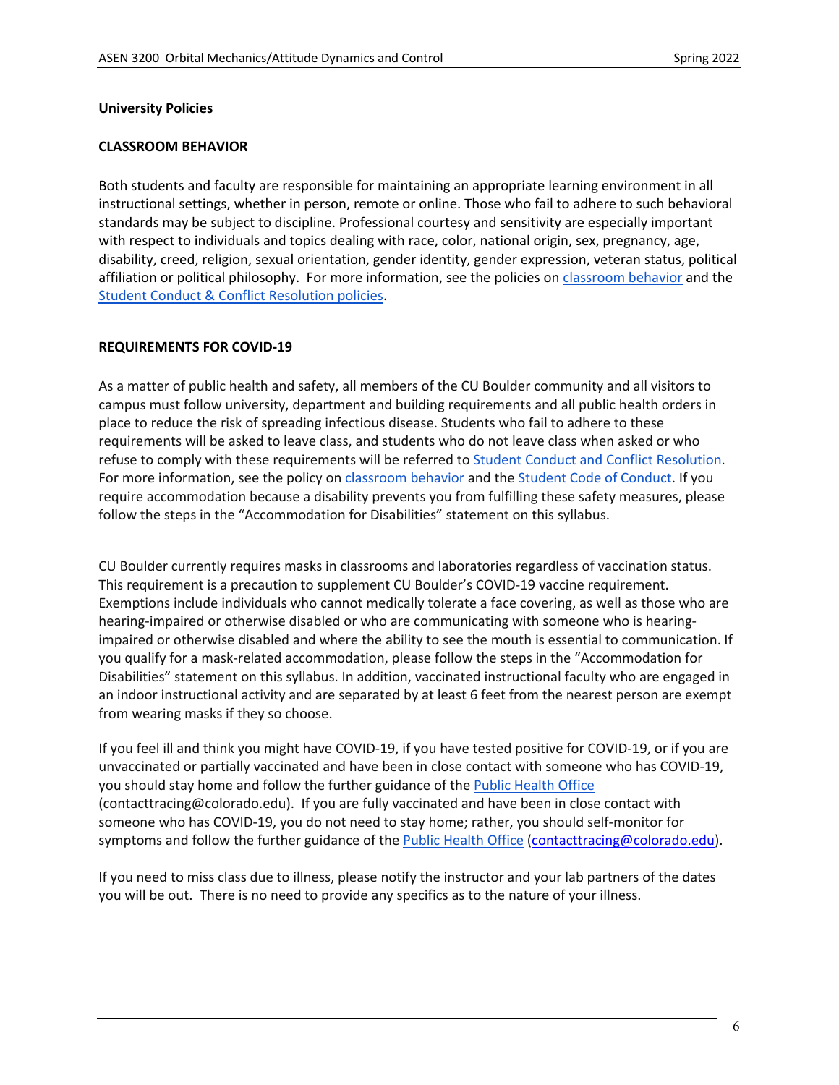### **University Policies**

### **CLASSROOM BEHAVIOR**

Both students and faculty are responsible for maintaining an appropriate learning environment in all instructional settings, whether in person, remote or online. Those who fail to adhere to such behavioral standards may be subject to discipline. Professional courtesy and sensitivity are especially important with respect to individuals and topics dealing with race, color, national origin, sex, pregnancy, age, disability, creed, religion, sexual orientation, gender identity, gender expression, veteran status, political affiliation or political philosophy. For more information, see the policies on classroom behavior and the Student Conduct & Conflict Resolution policies.

### **REQUIREMENTS FOR COVID-19**

As a matter of public health and safety, all members of the CU Boulder community and all visitors to campus must follow university, department and building requirements and all public health orders in place to reduce the risk of spreading infectious disease. Students who fail to adhere to these requirements will be asked to leave class, and students who do not leave class when asked or who refuse to comply with these requirements will be referred to Student Conduct and Conflict Resolution. For more information, see the policy on classroom behavior and the Student Code of Conduct. If you require accommodation because a disability prevents you from fulfilling these safety measures, please follow the steps in the "Accommodation for Disabilities" statement on this syllabus.

CU Boulder currently requires masks in classrooms and laboratories regardless of vaccination status. This requirement is a precaution to supplement CU Boulder's COVID-19 vaccine requirement. Exemptions include individuals who cannot medically tolerate a face covering, as well as those who are hearing-impaired or otherwise disabled or who are communicating with someone who is hearingimpaired or otherwise disabled and where the ability to see the mouth is essential to communication. If you qualify for a mask-related accommodation, please follow the steps in the "Accommodation for Disabilities" statement on this syllabus. In addition, vaccinated instructional faculty who are engaged in an indoor instructional activity and are separated by at least 6 feet from the nearest person are exempt from wearing masks if they so choose.

If you feel ill and think you might have COVID-19, if you have tested positive for COVID-19, or if you are unvaccinated or partially vaccinated and have been in close contact with someone who has COVID-19, you should stay home and follow the further guidance of the Public Health Office (contacttracing@colorado.edu). If you are fully vaccinated and have been in close contact with someone who has COVID-19, you do not need to stay home; rather, you should self-monitor for symptoms and follow the further guidance of the Public Health Office (contacttracing@colorado.edu).

If you need to miss class due to illness, please notify the instructor and your lab partners of the dates you will be out. There is no need to provide any specifics as to the nature of your illness.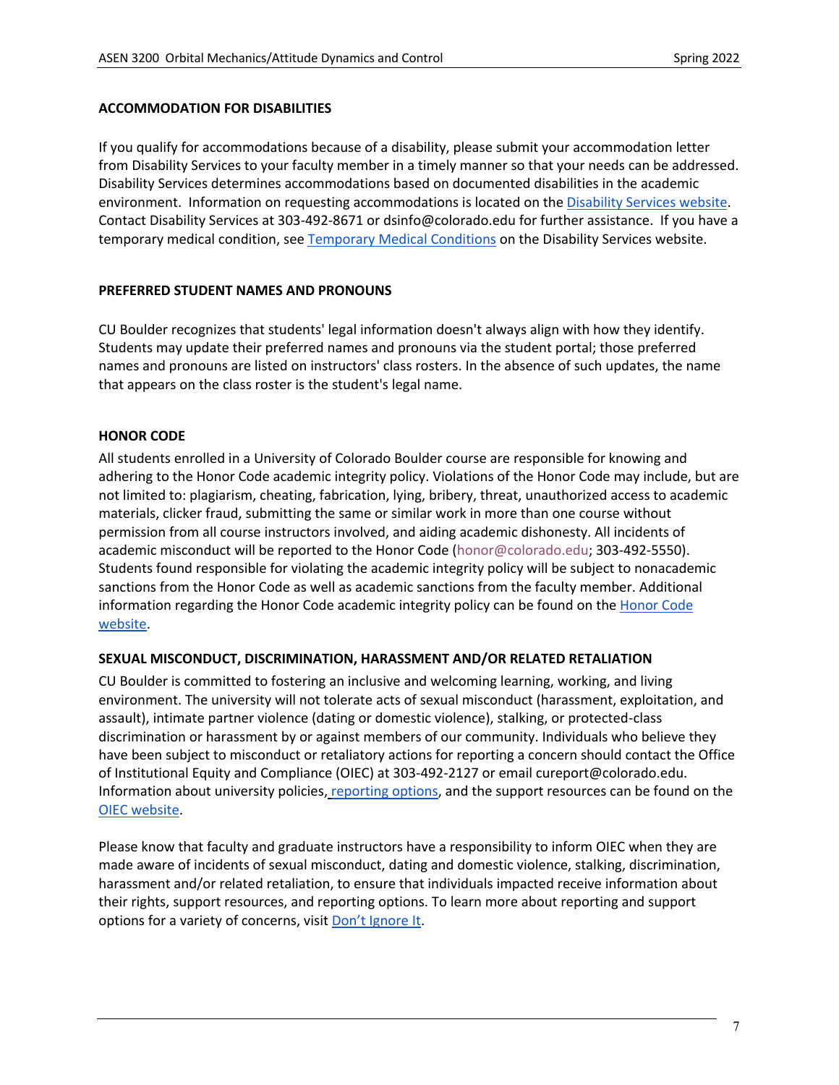### **ACCOMMODATION FOR DISABILITIES**

If you qualify for accommodations because of a disability, please submit your accommodation letter from Disability Services to your faculty member in a timely manner so that your needs can be addressed. Disability Services determines accommodations based on documented disabilities in the academic environment. Information on requesting accommodations is located on the Disability Services website. Contact Disability Services at 303-492-8671 or dsinfo@colorado.edu for further assistance. If you have a temporary medical condition, see Temporary Medical Conditions on the Disability Services website.

# **PREFERRED STUDENT NAMES AND PRONOUNS**

CU Boulder recognizes that students' legal information doesn't always align with how they identify. Students may update their preferred names and pronouns via the student portal; those preferred names and pronouns are listed on instructors' class rosters. In the absence of such updates, the name that appears on the class roster is the student's legal name.

# **HONOR CODE**

All students enrolled in a University of Colorado Boulder course are responsible for knowing and adhering to the Honor Code academic integrity policy. Violations of the Honor Code may include, but are not limited to: plagiarism, cheating, fabrication, lying, bribery, threat, unauthorized access to academic materials, clicker fraud, submitting the same or similar work in more than one course without permission from all course instructors involved, and aiding academic dishonesty. All incidents of academic misconduct will be reported to the Honor Code (honor@colorado.edu; 303-492-5550). Students found responsible for violating the academic integrity policy will be subject to nonacademic sanctions from the Honor Code as well as academic sanctions from the faculty member. Additional information regarding the Honor Code academic integrity policy can be found on the Honor Code website.

### **SEXUAL MISCONDUCT, DISCRIMINATION, HARASSMENT AND/OR RELATED RETALIATION**

CU Boulder is committed to fostering an inclusive and welcoming learning, working, and living environment. The university will not tolerate acts of sexual misconduct (harassment, exploitation, and assault), intimate partner violence (dating or domestic violence), stalking, or protected-class discrimination or harassment by or against members of our community. Individuals who believe they have been subject to misconduct or retaliatory actions for reporting a concern should contact the Office of Institutional Equity and Compliance (OIEC) at 303-492-2127 or email cureport@colorado.edu. Information about university policies, reporting options, and the support resources can be found on the OIEC website.

Please know that faculty and graduate instructors have a responsibility to inform OIEC when they are made aware of incidents of sexual misconduct, dating and domestic violence, stalking, discrimination, harassment and/or related retaliation, to ensure that individuals impacted receive information about their rights, support resources, and reporting options. To learn more about reporting and support options for a variety of concerns, visit Don't Ignore It.